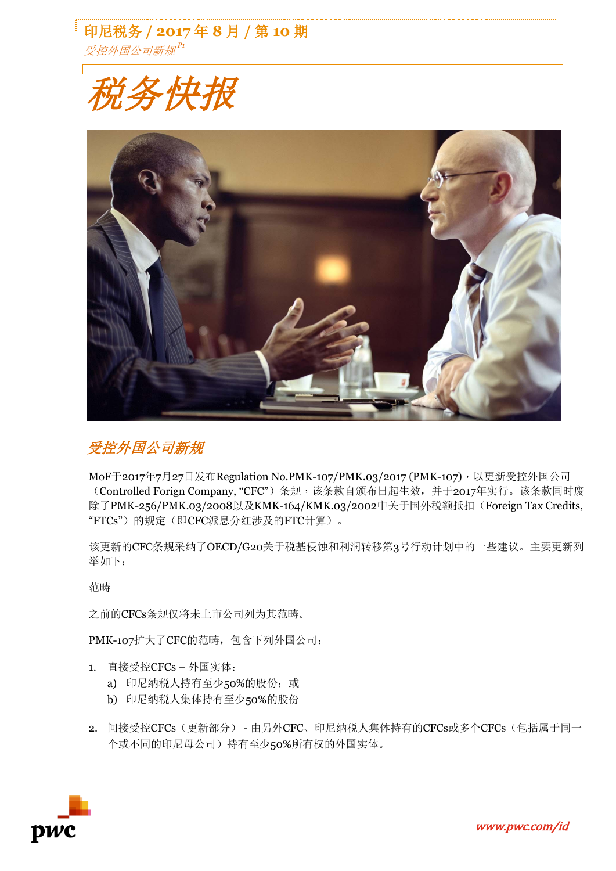印尼税务 **/ 2017** 年 **8** 月 **/** 第 **10** 期 受控外国公司新规 *P1*





# 受控外国公司新规

MoF于2017年7月27日发布Regulation No.PMK-107/PMK.03/2017 (PMK-107), 以更新受控外国公司 (Controlled Forign Company, "CFC")条规,该条款自颁布日起生效,并于2017年实行。该条款同时废 除了PMK-256/PMK.03/2008以及KMK-164/KMK.03/2002中关于国外税额抵扣(Foreign Tax Credits, "FTCs")的规定(即CFC派息分红涉及的FTC计算)。

该更新的CFC条规采纳了OECD/G20关于税基侵蚀和利润转移第3号行动计划中的一些建议。主要更新列 举如下:

范畴

之前的CFCs条规仅将未上市公司列为其范畴。

PMK-107扩大了CFC的范畴,包含下列外国公司:

- 1. 直接受控CFCs 外国实体:
	- a) 印尼纳税人持有至少50%的股份;或
	- b) 印尼纳税人集体持有至少50%的股份
- 2. 间接受控CFCs(更新部分) 由另外CFC、印尼纳税人集体持有的CFCs或多个CFCs(包括属于同一 个或不同的印尼母公司)持有至少50%所有权的外国实体。

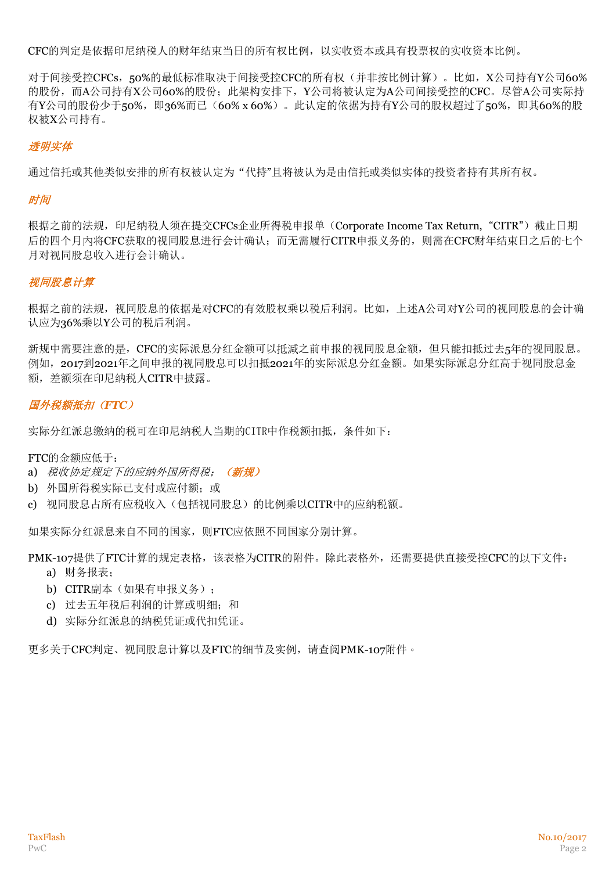CFC的判定是依据印尼纳税人的财年结束当日的所有权比例,以实收资本或具有投票权的实收资本比例。

对于间接受控CFCs,50%的最低标准取决于间接受控CFC的所有权(并非按比例计算)。比如,X公司持有Y公司60% 的股份,而A公司持有X公司60%的股份;此架构安排下,Y公司将被认定为A公司间接受控的CFC。尽管A公司实际持 有Y公司的股份少于50%, 即36%而已(60% x 60%)。此认定的依据为持有Y公司的股权超过了50%, 即其60%的股 权被X公司持有。

## 透明实体

通过信托或其他类似安排的所有权被认定为"代持"且将被认为是由信托或类似实体的投资者持有其所有权。

#### **时间**

根据之前的法规,印尼纳税人须在提交CFCs企业所得税申报单(Corporate Income Tax Return, "CITR")截止日期 后的四个月內将CFC获取的视同股息进行会计确认;而无需履行CITR申报义务的,则需在CFC财年结束日之后的七个 月对视同股息收入进行会计确认。

### 视同股息计算

根据之前的法规,视同股息的依据是对CFC的有效股权乘以税后利润。比如,上述A公司对Y公司的视同股息的会计确 认应为36%乘以Y公司的税后利润。

新规中需要注意的是,CFC的实际派息分红金额可以抵減之前申报的视同股息金额,但只能扣抵过去5年的视同股息。 例如, 2017到2021年之间申报的视同股息可以扣抵2021年的实际派息分红金额。如果实际派息分红高于视同股息金 额,差额须在印尼纳税人CITR中披露。

# 国外税额抵扣(*FTC*)

实际分红派息缴纳的税可在印尼纳税人当期的CITR中作税额扣抵,条件如下:

FTC的金额应低于:

- a) 税收协定规定下的应纳外国所得税: (新规)
- b) 外国所得税实际已支付或应付额; 或
- c) 视同股息占所有应税收入(包括视同股息)的比例乘以CITR中的应纳税额。

如果实际分红派息来自不同的国家,则FTC应依照不同国家分别计算。

PMK-107提供了FTC计算的规定表格,该表格为CITR的附件。除此表格外,还需要提供直接受控CFC的以下文件:

- a) 财务报表;
- b) CITR副本(如果有申报义务);
- c) 过去五年税后利润的计算或明细;和
- d) 实际分红派息的纳税凭证或代扣凭证。

更多关于CFC判定、视同股息计算以及FTC的细节及实例,请查阅PMK-107附件。